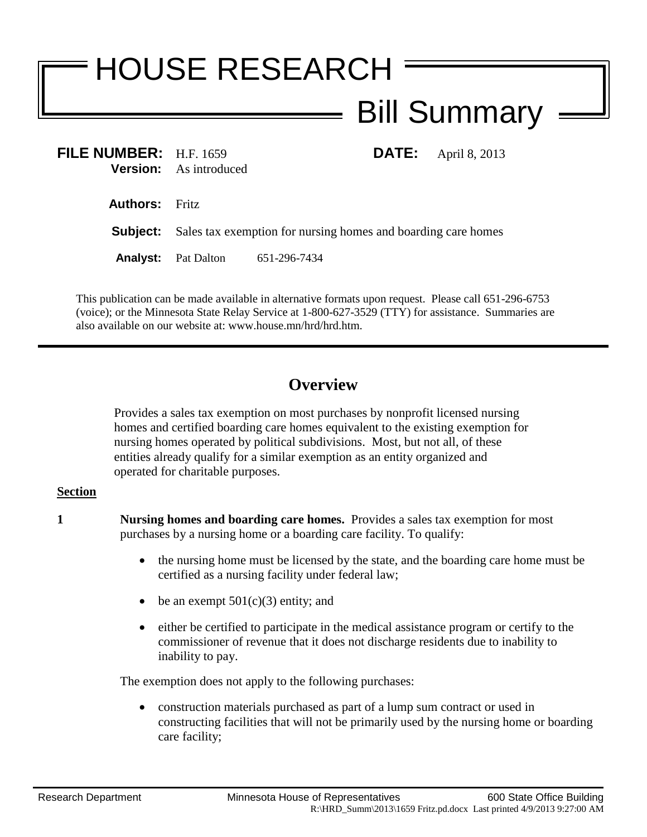## HOUSE RESEARCH Bill Summary

| FILE NUMBER: H.F. 1659 | <b>Version:</b> As introduced                                                 |              |  | <b>DATE:</b> April 8, 2013 |
|------------------------|-------------------------------------------------------------------------------|--------------|--|----------------------------|
| <b>Authors:</b> Fritz  |                                                                               |              |  |                            |
|                        | <b>Subject:</b> Sales tax exemption for nursing homes and boarding care homes |              |  |                            |
|                        | <b>Analyst:</b> Pat Dalton                                                    | 651-296-7434 |  |                            |

This publication can be made available in alternative formats upon request. Please call 651-296-6753 (voice); or the Minnesota State Relay Service at 1-800-627-3529 (TTY) for assistance. Summaries are also available on our website at: www.house.mn/hrd/hrd.htm.

## **Overview**

Provides a sales tax exemption on most purchases by nonprofit licensed nursing homes and certified boarding care homes equivalent to the existing exemption for nursing homes operated by political subdivisions. Most, but not all, of these entities already qualify for a similar exemption as an entity organized and operated for charitable purposes.

## **Section**

- **1 Nursing homes and boarding care homes.** Provides a sales tax exemption for most purchases by a nursing home or a boarding care facility. To qualify:
	- the nursing home must be licensed by the state, and the boarding care home must be certified as a nursing facility under federal law;
	- be an exempt  $501(c)(3)$  entity; and
	- either be certified to participate in the medical assistance program or certify to the commissioner of revenue that it does not discharge residents due to inability to inability to pay.

The exemption does not apply to the following purchases:

 construction materials purchased as part of a lump sum contract or used in constructing facilities that will not be primarily used by the nursing home or boarding care facility;